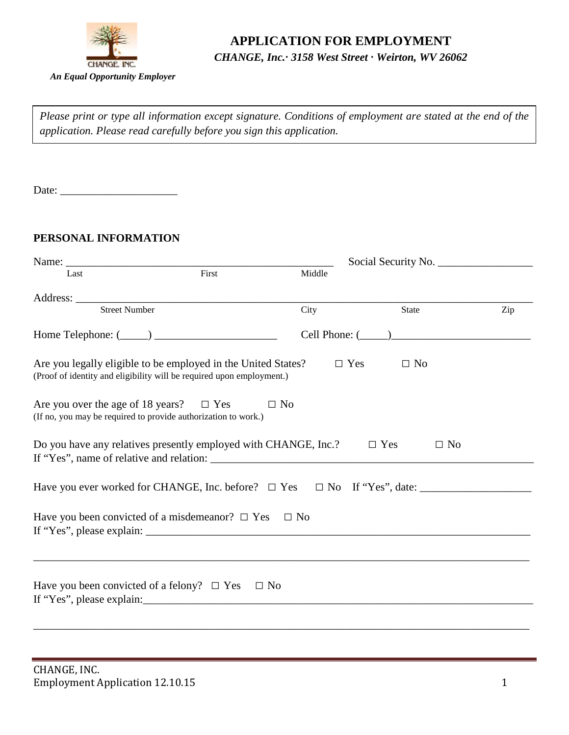

# **APPLICATION FOR EMPLOYMENT**

## *CHANGE, Inc.∙ 3158 West Street ∙ Weirton, WV 26062*

*Please print or type all information except signature. Conditions of employment are stated at the end of the application. Please read carefully before you sign this application.*

Date: \_\_\_\_\_\_\_\_\_\_\_\_\_\_\_\_\_\_\_\_\_

#### **PERSONAL INFORMATION**

| Last                                                                                                                                   | First | Middle    |                         |     |  |  |
|----------------------------------------------------------------------------------------------------------------------------------------|-------|-----------|-------------------------|-----|--|--|
| Address: <u>Street Number</u>                                                                                                          |       |           |                         |     |  |  |
|                                                                                                                                        |       | City      | <b>State</b>            | Zip |  |  |
|                                                                                                                                        |       |           | Cell Phone: $(\_\_)$    |     |  |  |
| Are you legally eligible to be employed in the United States?<br>(Proof of identity and eligibility will be required upon employment.) |       |           | $\Box$ Yes<br>$\Box$ No |     |  |  |
| Are you over the age of 18 years? $\Box$ Yes<br>(If no, you may be required to provide authorization to work.)                         |       | $\Box$ No |                         |     |  |  |
| Do you have any relatives presently employed with CHANGE, Inc.?                                                                        |       |           | $\Box$ Yes<br>$\Box$ No |     |  |  |
|                                                                                                                                        |       |           |                         |     |  |  |
| Have you been convicted of a misdemean or? $\Box$ Yes $\Box$ No                                                                        |       |           |                         |     |  |  |
| Have you been convicted of a felony? $\Box$ Yes $\Box$ No                                                                              |       |           |                         |     |  |  |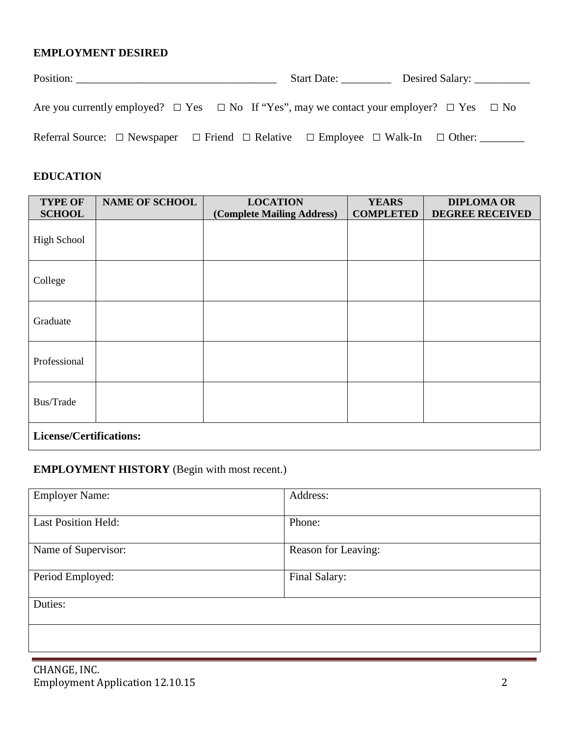#### **EMPLOYMENT DESIRED**

|                                                                                                               | Start Date: |
|---------------------------------------------------------------------------------------------------------------|-------------|
|                                                                                                               |             |
| Are you currently employed? $\Box$ Yes $\Box$ No If "Yes", may we contact your employer? $\Box$ Yes $\Box$ No |             |
|                                                                                                               |             |
| Referral Source: $\Box$ Newspaper $\Box$ Friend $\Box$ Relative $\Box$ Employee $\Box$ Walk-In $\Box$ Other:  |             |

## **EDUCATION**

| <b>TYPE OF</b><br><b>SCHOOL</b> | <b>NAME OF SCHOOL</b> | <b>LOCATION</b><br>(Complete Mailing Address) | <b>YEARS</b><br><b>COMPLETED</b> | <b>DIPLOMA OR</b><br><b>DEGREE RECEIVED</b> |
|---------------------------------|-----------------------|-----------------------------------------------|----------------------------------|---------------------------------------------|
| <b>High School</b>              |                       |                                               |                                  |                                             |
| College                         |                       |                                               |                                  |                                             |
| Graduate                        |                       |                                               |                                  |                                             |
| Professional                    |                       |                                               |                                  |                                             |
| Bus/Trade                       |                       |                                               |                                  |                                             |
| License/Certifications:         |                       |                                               |                                  |                                             |

### **EMPLOYMENT HISTORY** (Begin with most recent.)

| <b>Employer Name:</b>      | Address:            |
|----------------------------|---------------------|
| <b>Last Position Held:</b> | Phone:              |
| Name of Supervisor:        | Reason for Leaving: |
| Period Employed:           | Final Salary:       |
| Duties:                    |                     |
|                            |                     |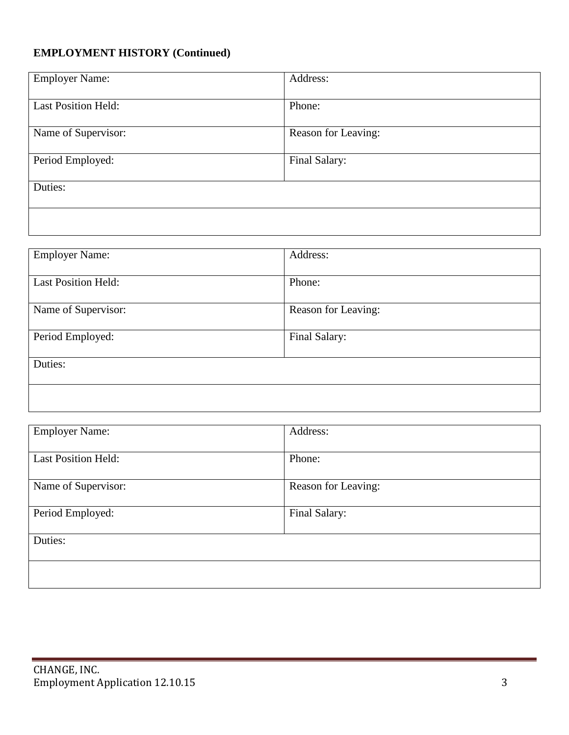## **EMPLOYMENT HISTORY (Continued)**

| <b>Employer Name:</b>      | Address:            |
|----------------------------|---------------------|
|                            |                     |
|                            |                     |
|                            |                     |
| <b>Last Position Held:</b> | Phone:              |
|                            |                     |
|                            |                     |
|                            |                     |
| Name of Supervisor:        | Reason for Leaving: |
|                            |                     |
|                            |                     |
|                            |                     |
| Period Employed:           | Final Salary:       |
|                            |                     |
|                            |                     |
|                            |                     |
| Duties:                    |                     |
|                            |                     |
|                            |                     |
|                            |                     |
|                            |                     |
|                            |                     |
|                            |                     |
|                            |                     |

| <b>Employer Name:</b>      | Address:            |
|----------------------------|---------------------|
| <b>Last Position Held:</b> | Phone:              |
| Name of Supervisor:        | Reason for Leaving: |
| Period Employed:           | Final Salary:       |
| Duties:                    |                     |
|                            |                     |

| <b>Employer Name:</b>      | Address:            |
|----------------------------|---------------------|
| <b>Last Position Held:</b> | Phone:              |
| Name of Supervisor:        | Reason for Leaving: |
| Period Employed:           | Final Salary:       |
| Duties:                    |                     |
|                            |                     |